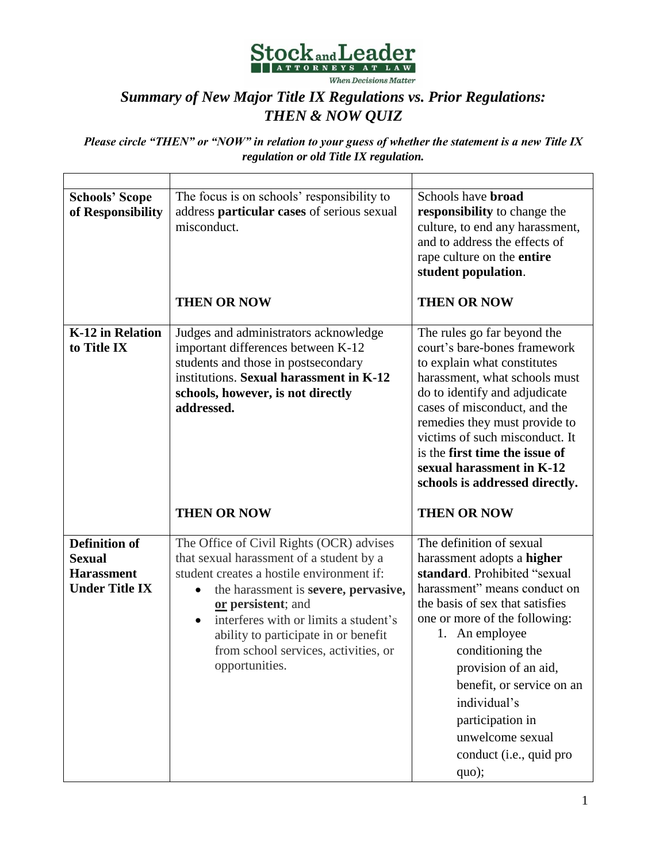

## *Summary of New Major Title IX Regulations vs. Prior Regulations: THEN & NOW QUIZ*

*Please circle "THEN" or "NOW" in relation to your guess of whether the statement is a new Title IX regulation or old Title IX regulation.* 

| <b>Schools' Scope</b><br>of Responsibility                                          | The focus is on schools' responsibility to<br>address particular cases of serious sexual<br>misconduct.                                                                                                                                                                                                                                                              | Schools have <b>broad</b><br>responsibility to change the<br>culture, to end any harassment,<br>and to address the effects of<br>rape culture on the entire<br>student population.                                                                                                                                                                                       |  |  |
|-------------------------------------------------------------------------------------|----------------------------------------------------------------------------------------------------------------------------------------------------------------------------------------------------------------------------------------------------------------------------------------------------------------------------------------------------------------------|--------------------------------------------------------------------------------------------------------------------------------------------------------------------------------------------------------------------------------------------------------------------------------------------------------------------------------------------------------------------------|--|--|
|                                                                                     | <b>THEN OR NOW</b>                                                                                                                                                                                                                                                                                                                                                   | <b>THEN OR NOW</b>                                                                                                                                                                                                                                                                                                                                                       |  |  |
| K-12 in Relation<br>to Title IX                                                     | Judges and administrators acknowledge<br>important differences between K-12<br>students and those in postsecondary<br>institutions. Sexual harassment in K-12<br>schools, however, is not directly<br>addressed.                                                                                                                                                     | The rules go far beyond the<br>court's bare-bones framework<br>to explain what constitutes<br>harassment, what schools must<br>do to identify and adjudicate<br>cases of misconduct, and the<br>remedies they must provide to<br>victims of such misconduct. It<br>is the first time the issue of<br>sexual harassment in K-12<br>schools is addressed directly.         |  |  |
|                                                                                     | <b>THEN OR NOW</b>                                                                                                                                                                                                                                                                                                                                                   | <b>THEN OR NOW</b>                                                                                                                                                                                                                                                                                                                                                       |  |  |
| <b>Definition of</b><br><b>Sexual</b><br><b>Harassment</b><br><b>Under Title IX</b> | The Office of Civil Rights (OCR) advises<br>that sexual harassment of a student by a<br>student creates a hostile environment if:<br>the harassment is severe, pervasive,<br>$\bullet$<br>or persistent; and<br>interferes with or limits a student's<br>$\bullet$<br>ability to participate in or benefit<br>from school services, activities, or<br>opportunities. | The definition of sexual<br>harassment adopts a higher<br>standard. Prohibited "sexual<br>harassment" means conduct on<br>the basis of sex that satisfies<br>one or more of the following:<br>1. An employee<br>conditioning the<br>provision of an aid,<br>benefit, or service on an<br>individual's<br>participation in<br>unwelcome sexual<br>conduct (i.e., quid pro |  |  |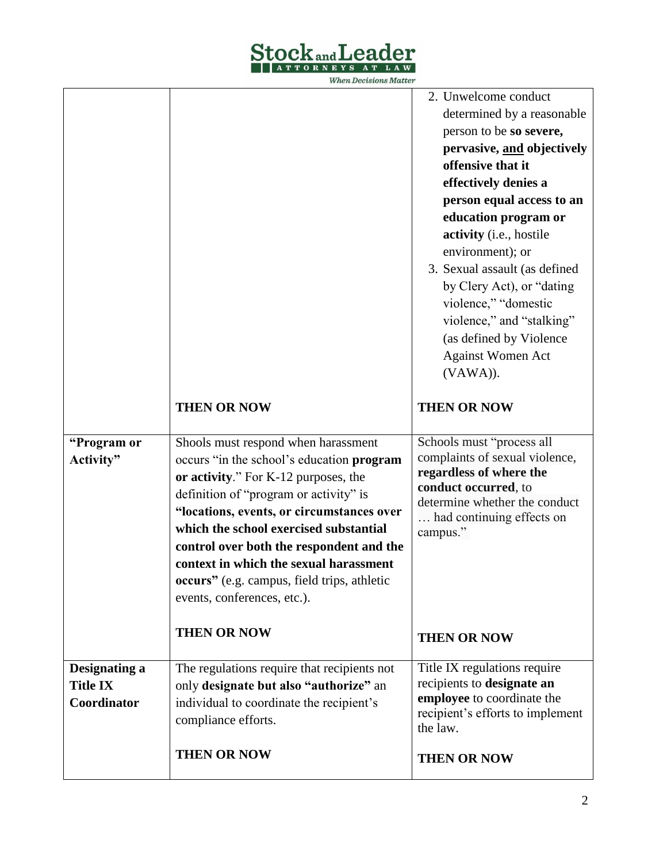

**When Decisions Matter** 

|                 |                                                                                       | 2. Unwelcome conduct                                       |
|-----------------|---------------------------------------------------------------------------------------|------------------------------------------------------------|
|                 |                                                                                       | determined by a reasonable<br>person to be so severe,      |
|                 |                                                                                       | pervasive, and objectively                                 |
|                 |                                                                                       | offensive that it                                          |
|                 |                                                                                       | effectively denies a                                       |
|                 |                                                                                       | person equal access to an                                  |
|                 |                                                                                       | education program or                                       |
|                 |                                                                                       | activity (i.e., hostile                                    |
|                 |                                                                                       | environment); or                                           |
|                 |                                                                                       | 3. Sexual assault (as defined                              |
|                 |                                                                                       | by Clery Act), or "dating                                  |
|                 |                                                                                       | violence," "domestic                                       |
|                 |                                                                                       | violence," and "stalking"                                  |
|                 |                                                                                       | (as defined by Violence                                    |
|                 |                                                                                       | <b>Against Women Act</b>                                   |
|                 |                                                                                       | (VAWA)).                                                   |
|                 |                                                                                       |                                                            |
|                 | <b>THEN OR NOW</b>                                                                    | <b>THEN OR NOW</b>                                         |
| "Program or     | Shools must respond when harassment                                                   | Schools must "process all                                  |
|                 |                                                                                       |                                                            |
|                 |                                                                                       |                                                            |
| Activity"       | occurs "in the school's education program                                             | complaints of sexual violence,<br>regardless of where the  |
|                 | or activity." For K-12 purposes, the                                                  | conduct occurred, to                                       |
|                 | definition of "program or activity" is                                                | determine whether the conduct                              |
|                 | "locations, events, or circumstances over<br>which the school exercised substantial   | had continuing effects on                                  |
|                 | control over both the respondent and the                                              | campus."                                                   |
|                 | context in which the sexual harassment                                                |                                                            |
|                 | occurs" (e.g. campus, field trips, athletic                                           |                                                            |
|                 | events, conferences, etc.).                                                           |                                                            |
|                 |                                                                                       |                                                            |
|                 | <b>THEN OR NOW</b>                                                                    | <b>THEN OR NOW</b>                                         |
| Designating a   |                                                                                       |                                                            |
| <b>Title IX</b> | The regulations require that recipients not<br>only designate but also "authorize" an | Title IX regulations require<br>recipients to designate an |
| Coordinator     | individual to coordinate the recipient's                                              | employee to coordinate the                                 |
|                 | compliance efforts.                                                                   | recipient's efforts to implement<br>the law.               |
|                 | <b>THEN OR NOW</b>                                                                    | <b>THEN OR NOW</b>                                         |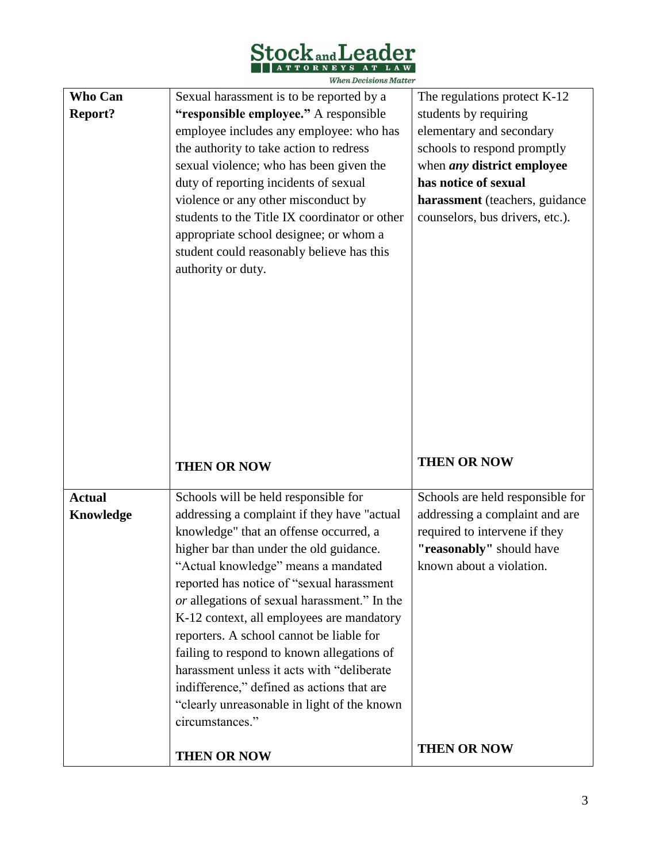

 $\label{thm:1} When\ Decisions\ Matter$ 

| Who Can        | Sexual harassment is to be reported by a      | The regulations protect K-12      |  |  |  |
|----------------|-----------------------------------------------|-----------------------------------|--|--|--|
| <b>Report?</b> | "responsible employee." A responsible         | students by requiring             |  |  |  |
|                | employee includes any employee: who has       | elementary and secondary          |  |  |  |
|                | the authority to take action to redress       | schools to respond promptly       |  |  |  |
|                | sexual violence; who has been given the       | when <i>any</i> district employee |  |  |  |
|                | duty of reporting incidents of sexual         | has notice of sexual              |  |  |  |
|                | violence or any other misconduct by           | harassment (teachers, guidance    |  |  |  |
|                | students to the Title IX coordinator or other | counselors, bus drivers, etc.).   |  |  |  |
|                | appropriate school designee; or whom a        |                                   |  |  |  |
|                | student could reasonably believe has this     |                                   |  |  |  |
|                | authority or duty.                            |                                   |  |  |  |
|                |                                               |                                   |  |  |  |
|                |                                               |                                   |  |  |  |
|                |                                               |                                   |  |  |  |
|                |                                               |                                   |  |  |  |
|                |                                               |                                   |  |  |  |
|                |                                               |                                   |  |  |  |
|                |                                               |                                   |  |  |  |
|                |                                               |                                   |  |  |  |
|                |                                               |                                   |  |  |  |
|                |                                               |                                   |  |  |  |
|                |                                               |                                   |  |  |  |
|                | <b>THEN OR NOW</b>                            | <b>THEN OR NOW</b>                |  |  |  |
|                |                                               |                                   |  |  |  |
| <b>Actual</b>  | Schools will be held responsible for          | Schools are held responsible for  |  |  |  |
| Knowledge      | addressing a complaint if they have "actual   | addressing a complaint and are    |  |  |  |
|                | knowledge" that an offense occurred, a        | required to intervene if they     |  |  |  |
|                | higher bar than under the old guidance.       | "reasonably" should have          |  |  |  |
|                | "Actual knowledge" means a mandated           | known about a violation.          |  |  |  |
|                | reported has notice of "sexual harassment     |                                   |  |  |  |
|                | or allegations of sexual harassment." In the  |                                   |  |  |  |
|                | K-12 context, all employees are mandatory     |                                   |  |  |  |
|                | reporters. A school cannot be liable for      |                                   |  |  |  |
|                | failing to respond to known allegations of    |                                   |  |  |  |
|                | harassment unless it acts with "deliberate"   |                                   |  |  |  |
|                | indifference," defined as actions that are    |                                   |  |  |  |
|                | "clearly unreasonable in light of the known   |                                   |  |  |  |
|                | circumstances."                               | <b>THEN OR NOW</b>                |  |  |  |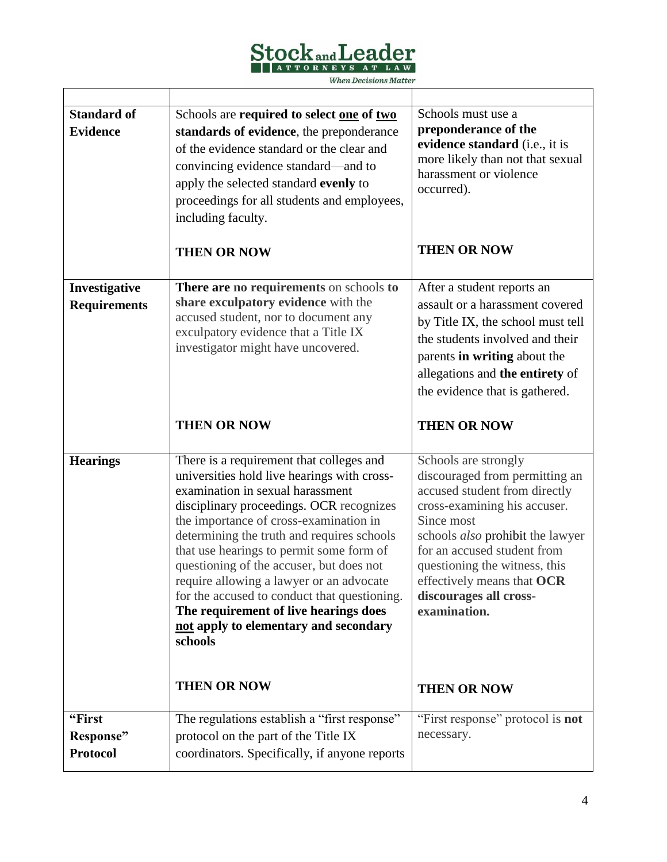

 $\label{thm:1} When\ Decisions\ Matter$ 

| <b>Standard of</b><br><b>Evidence</b>  | Schools are required to select one of two<br>standards of evidence, the preponderance<br>of the evidence standard or the clear and<br>convincing evidence standard—and to<br>apply the selected standard evenly to<br>proceedings for all students and employees,<br>including faculty.<br><b>THEN OR NOW</b>                                                                                                                                                                                                                                    | Schools must use a<br>preponderance of the<br>evidence standard (i.e., it is<br>more likely than not that sexual<br>harassment or violence<br>occurred).<br><b>THEN OR NOW</b>                                                                                                                                           |
|----------------------------------------|--------------------------------------------------------------------------------------------------------------------------------------------------------------------------------------------------------------------------------------------------------------------------------------------------------------------------------------------------------------------------------------------------------------------------------------------------------------------------------------------------------------------------------------------------|--------------------------------------------------------------------------------------------------------------------------------------------------------------------------------------------------------------------------------------------------------------------------------------------------------------------------|
| Investigative<br><b>Requirements</b>   | There are no requirements on schools to<br>share exculpatory evidence with the<br>accused student, nor to document any<br>exculpatory evidence that a Title IX<br>investigator might have uncovered.<br><b>THEN OR NOW</b>                                                                                                                                                                                                                                                                                                                       | After a student reports an<br>assault or a harassment covered<br>by Title IX, the school must tell<br>the students involved and their<br>parents in writing about the<br>allegations and the entirety of<br>the evidence that is gathered.<br><b>THEN OR NOW</b>                                                         |
| <b>Hearings</b>                        | There is a requirement that colleges and<br>universities hold live hearings with cross-<br>examination in sexual harassment<br>disciplinary proceedings. OCR recognizes<br>the importance of cross-examination in<br>determining the truth and requires schools<br>that use hearings to permit some form of<br>questioning of the accuser, but does not<br>require allowing a lawyer or an advocate<br>for the accused to conduct that questioning.<br>The requirement of live hearings does<br>not apply to elementary and secondary<br>schools | Schools are strongly<br>discouraged from permitting an<br>accused student from directly<br>cross-examining his accuser.<br>Since most<br>schools <i>also</i> prohibit the lawyer<br>for an accused student from<br>questioning the witness, this<br>effectively means that OCR<br>discourages all cross-<br>examination. |
|                                        | <b>THEN OR NOW</b>                                                                                                                                                                                                                                                                                                                                                                                                                                                                                                                               | <b>THEN OR NOW</b>                                                                                                                                                                                                                                                                                                       |
| "First<br>Response"<br><b>Protocol</b> | The regulations establish a "first response"<br>protocol on the part of the Title IX<br>coordinators. Specifically, if anyone reports                                                                                                                                                                                                                                                                                                                                                                                                            | "First response" protocol is not<br>necessary.                                                                                                                                                                                                                                                                           |

٦